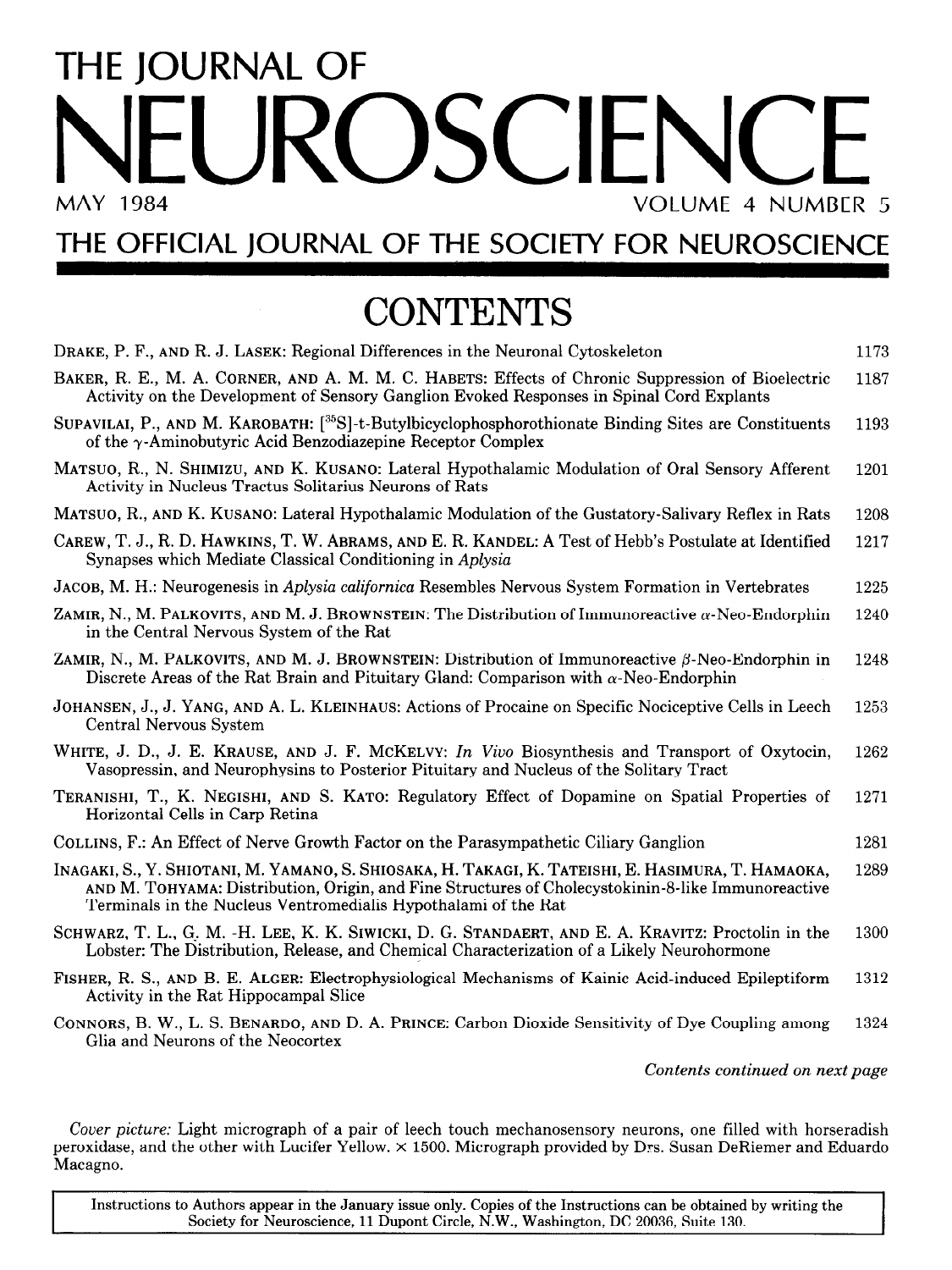## THE JOURNAL OF NEUROSCIEN VOLUME 4 NUMBER 5

## THE OFFICIAL JOURNAL OF THE SOCIETY FOR NEUROSCIENCE

## **CONTENTS**

| DRAKE, P. F., AND R. J. LASEK: Regional Differences in the Neuronal Cytoskeleton                                                                                                                                                                                           | 1173 |
|----------------------------------------------------------------------------------------------------------------------------------------------------------------------------------------------------------------------------------------------------------------------------|------|
| BAKER, R. E., M. A. CORNER, AND A. M. M. C. HABETS: Effects of Chronic Suppression of Bioelectric<br>Activity on the Development of Sensory Ganglion Evoked Responses in Spinal Cord Explants                                                                              | 1187 |
| SUPAVILAI, P., AND M. KAROBATH: [ <sup>35</sup> S]-t-Butylbicyclophosphorothionate Binding Sites are Constituents<br>of the $\gamma$ -Aminobutyric Acid Benzodiazepine Receptor Complex                                                                                    | 1193 |
| MATSUO, R., N. SHIMIZU, AND K. KUSANO: Lateral Hypothalamic Modulation of Oral Sensory Afferent<br>Activity in Nucleus Tractus Solitarius Neurons of Rats                                                                                                                  | 1201 |
| MATSUO, R., AND K. KUSANO: Lateral Hypothalamic Modulation of the Gustatory-Salivary Reflex in Rats                                                                                                                                                                        | 1208 |
| CAREW, T. J., R. D. HAWKINS, T. W. ABRAMS, AND E. R. KANDEL: A Test of Hebb's Postulate at Identified<br>Synapses which Mediate Classical Conditioning in Aplysia                                                                                                          | 1217 |
| JACOB, M. H.: Neurogenesis in Aplysia californica Resembles Nervous System Formation in Vertebrates                                                                                                                                                                        | 1225 |
| ZAMIR, N., M. PALKOVITS, AND M. J. BROWNSTEIN: The Distribution of Immunore active $\alpha$ -Neo-Endorphin<br>in the Central Nervous System of the Rat                                                                                                                     | 1240 |
| ZAMIR, N., M. PALKOVITS, AND M. J. BROWNSTEIN: Distribution of Immunore active $\beta$ -Neo-Endorphin in<br>Discrete Areas of the Rat Brain and Pituitary Gland: Comparison with $\alpha$ -Neo-Endorphin                                                                   | 1248 |
| JOHANSEN, J., J. YANG, AND A. L. KLEINHAUS: Actions of Procaine on Specific Nociceptive Cells in Leech<br>Central Nervous System                                                                                                                                           | 1253 |
| WHITE, J. D., J. E. KRAUSE, AND J. F. MCKELVY: In Vivo Biosynthesis and Transport of Oxytocin,<br>Vasopressin, and Neurophysins to Posterior Pituitary and Nucleus of the Solitary Tract                                                                                   | 1262 |
| TERANISHI, T., K. NEGISHI, AND S. KATO: Regulatory Effect of Dopamine on Spatial Properties of<br>Horizontal Cells in Carp Retina                                                                                                                                          | 1271 |
| COLLINS, F.: An Effect of Nerve Growth Factor on the Parasympathetic Ciliary Ganglion                                                                                                                                                                                      | 1281 |
| Inagaki, S., Y. Shiotani, M. Yamano, S. Shiosaka, H. Takagi, K. Tateishi, E. Hasimura, T. Hamaoka,<br>AND M. TOHYAMA: Distribution, Origin, and Fine Structures of Cholecystokinin-8-like Immunoreactive<br>Terminals in the Nucleus Ventromedialis Hypothalami of the Rat | 1289 |
| SCHWARZ, T. L., G. M. -H. LEE, K. K. SIWICKI, D. G. STANDAERT, AND E. A. KRAVITZ: Proctolin in the<br>Lobster: The Distribution, Release, and Chemical Characterization of a Likely Neurohormone                                                                           | 1300 |
| FISHER, R. S., AND B. E. ALGER: Electrophysiological Mechanisms of Kainic Acid-induced Epileptiform<br>Activity in the Rat Hippocampal Slice                                                                                                                               | 1312 |
| CONNORS, B. W., L. S. BENARDO, AND D. A. PRINCE: Carbon Dioxide Sensitivity of Dye Coupling among<br>Glia and Neurons of the Neocortex                                                                                                                                     | 1324 |
| Contents continued on next page                                                                                                                                                                                                                                            |      |

Cover picture: Light micrograph of a pair of leech touch mechanosensory neurons, one filled with horseradish Cover picture: Light micrograph of a pair of leech touch mechanosensory neurons, one filled with horseradis peroxidase, and the other with Lucifer Yellow.  $\times$  1500. Micrograph provided by Drs. Susan DeRiemer and Eduardo Macagno.

Instructions to Authors appear in the January issue only. Copies of the Instructions can be obtained by writing the Instructions can be obtained by writing the Instructions can be obtained by writing the Instructions can b Instructions to Authors appear in the January issue only. Copies of the Instructions can be obtained by writing the<br>Society for Neuroscience, 11 Dupont Circle, N.W., Washington, DC 20036, Suite 130.